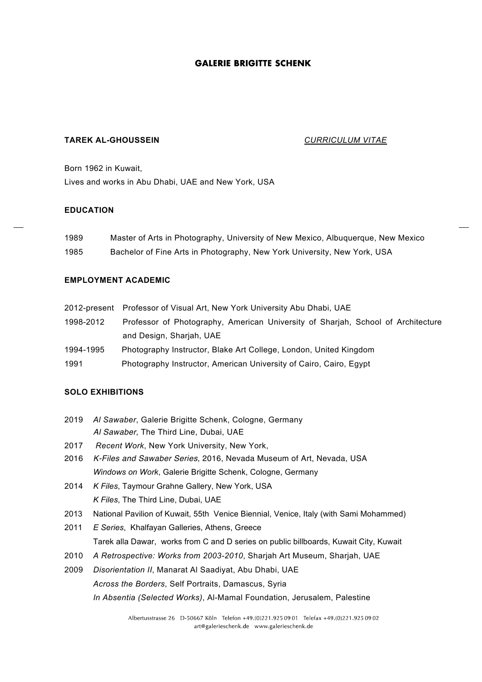# **TAREK AL-GHOUSSEIN** *CURRICULUM VITAE*

Born 1962 in Kuwait, Lives and works in Abu Dhabi, UAE and New York, USA

# **EDUCATION**

| 1989 | Master of Arts in Photography, University of New Mexico, Albuquerque, New Mexico |
|------|----------------------------------------------------------------------------------|
| 1985 | Bachelor of Fine Arts in Photography, New York University, New York, USA         |

# **EMPLOYMENT ACADEMIC**

- 2012-present Professor of Visual Art, New York University Abu Dhabi, UAE
- 1998-2012 Professor of Photography, American University of Sharjah, School of Architecture and Design, Sharjah, UAE
- 1994-1995 Photography Instructor, Blake Art College, London, United Kingdom
- 1991 Photography Instructor, American University of Cairo, Cairo, Egypt

# **SOLO EXHIBITIONS**

- 2019 *Al Sawaber*, Galerie Brigitte Schenk, Cologne, Germany *Al Sawaber*, The Third Line, Dubai, UAE
- 2017 *Recent Work*, New York University, New York,
- 2016 *K-Files and Sawaber Series*, 2016, Nevada Museum of Art, Nevada, USA *Windows on Work*, Galerie Brigitte Schenk, Cologne, Germany
- 2014 *K Files*, Taymour Grahne Gallery, New York, USA *K Files*, The Third Line, Dubai, UAE
- 2013 National Pavilion of Kuwait, 55th Venice Biennial, Venice, Italy (with Sami Mohammed)
- 2011 *E Series*, Khalfayan Galleries, Athens, Greece Tarek alla Dawar, works from C and D series on public billboards, Kuwait City, Kuwait
- 2010 *A Retrospective: Works from 2003-2010*, Sharjah Art Museum, Sharjah, UAE
- 2009 *Disorientation II*, Manarat Al Saadiyat, Abu Dhabi, UAE *Across the Borders*, Self Portraits, Damascus, Syria *In Absentia (Selected Works)*, Al-Mamal Foundation, Jerusalem, Palestine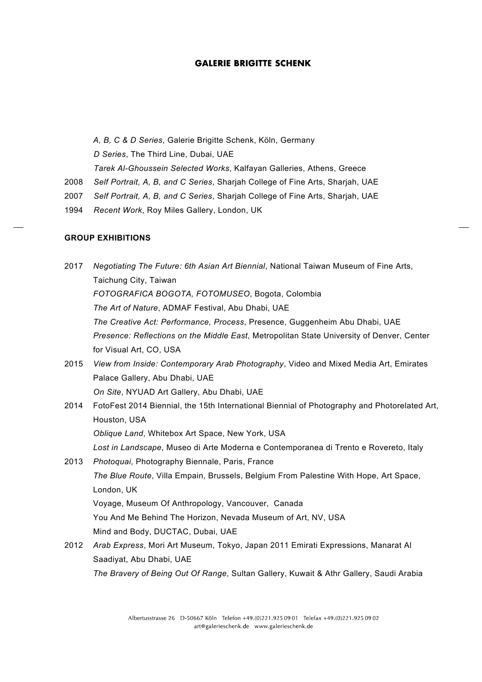*A, B, C & D Series*, Galerie Brigitte Schenk, Köln, Germany *D Series*, The Third Line, Dubai, UAE *Tarek Al-Ghoussein Selected Works*, Kalfayan Galleries, Athens, Greece 2008 *Self Portrait, A, B, and C Series*, Sharjah College of Fine Arts, Sharjah, UAE

- 2007 *Self Portrait, A, B, and C Series*, Sharjah College of Fine Arts, Sharjah, UAE
- 1994 *Recent Work*, Roy Miles Gallery, London, UK

# **GROUP EXHIBITIONS**

- 2017 *Negotiating The Future: 6th Asian Art Biennial*, National Taiwan Museum of Fine Arts, Taichung City, Taiwan *FOTOGRAFICA BOGOTA, FOTOMUSEO*, Bogota, Colombia *The Art of Nature*, ADMAF Festival, Abu Dhabi, UAE *The Creative Act: Performance, Process*, Presence, Guggenheim Abu Dhabi, UAE *Presence: Reflections on the Middle East*, Metropolitan State University of Denver, Center for Visual Art, CO, USA
- 2015 *View from Inside: Contemporary Arab Photography*, Video and Mixed Media Art, Emirates Palace Gallery, Abu Dhabi, UAE *On Site*, NYUAD Art Gallery, Abu Dhabi, UAE
- 2014 FotoFest 2014 Biennial, the 15th International Biennial of Photography and Photorelated Art, Houston, USA *Oblique Land*, Whitebox Art Space, New York, USA *Lost in Landscape*, Museo di Arte Moderna e Contemporanea di Trento e Rovereto, Italy 2013 *Photoquai*, Photography Biennale, Paris, France
	- *The Blue Route*, Villa Empain, Brussels, Belgium From Palestine With Hope, Art Space, London, UK

Voyage, Museum Of Anthropology, Vancouver, Canada

You And Me Behind The Horizon, Nevada Museum of Art, NV, USA

Mind and Body, DUCTAC, Dubai, UAE

2012 *Arab Express*, Mori Art Museum, Tokyo, Japan 2011 Emirati Expressions, Manarat Al Saadiyat, Abu Dhabi, UAE

*The Bravery of Being Out Of Range*, Sultan Gallery, Kuwait & Athr Gallery, Saudi Arabia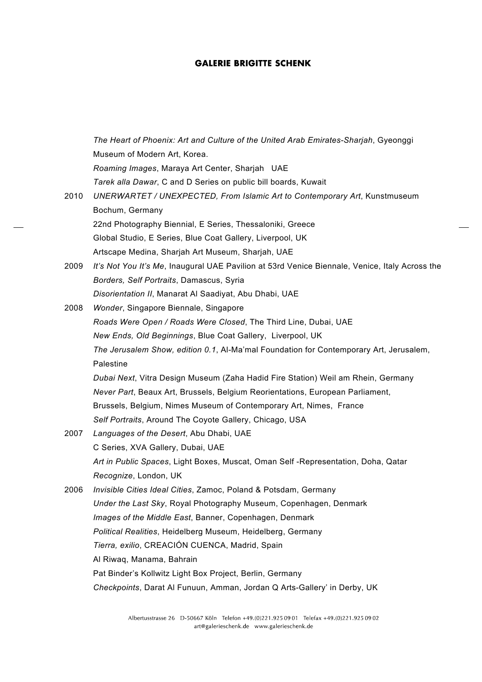|      | The Heart of Phoenix: Art and Culture of the United Arab Emirates-Sharjah, Gyeonggi            |
|------|------------------------------------------------------------------------------------------------|
|      | Museum of Modern Art, Korea.                                                                   |
|      | Roaming Images, Maraya Art Center, Sharjah UAE                                                 |
|      | Tarek alla Dawar, C and D Series on public bill boards, Kuwait                                 |
| 2010 | UNERWARTET / UNEXPECTED, From Islamic Art to Contemporary Art, Kunstmuseum                     |
|      | Bochum, Germany                                                                                |
|      | 22nd Photography Biennial, E Series, Thessaloniki, Greece                                      |
|      | Global Studio, E Series, Blue Coat Gallery, Liverpool, UK                                      |
|      | Artscape Medina, Sharjah Art Museum, Sharjah, UAE                                              |
| 2009 | It's Not You It's Me, Inaugural UAE Pavilion at 53rd Venice Biennale, Venice, Italy Across the |
|      | Borders, Self Portraits, Damascus, Syria                                                       |
|      | Disorientation II, Manarat Al Saadiyat, Abu Dhabi, UAE                                         |
| 2008 | Wonder, Singapore Biennale, Singapore                                                          |
|      | Roads Were Open / Roads Were Closed, The Third Line, Dubai, UAE                                |
|      | New Ends, Old Beginnings, Blue Coat Gallery, Liverpool, UK                                     |
|      | The Jerusalem Show, edition 0.1, Al-Ma'mal Foundation for Contemporary Art, Jerusalem,         |
|      | Palestine                                                                                      |
|      | Dubai Next, Vitra Design Museum (Zaha Hadid Fire Station) Weil am Rhein, Germany               |
|      | Never Part, Beaux Art, Brussels, Belgium Reorientations, European Parliament,                  |
|      | Brussels, Belgium, Nimes Museum of Contemporary Art, Nimes, France                             |
|      | Self Portraits, Around The Coyote Gallery, Chicago, USA                                        |
| 2007 | Languages of the Desert, Abu Dhabi, UAE                                                        |
|      | C Series, XVA Gallery, Dubai, UAE                                                              |
|      | Art in Public Spaces, Light Boxes, Muscat, Oman Self -Representation, Doha, Qatar              |
|      | Recognize, London, UK                                                                          |
| 2006 | Invisible Cities Ideal Cities, Zamoc, Poland & Potsdam, Germany                                |
|      | Under the Last Sky, Royal Photography Museum, Copenhagen, Denmark                              |
|      | Images of the Middle East, Banner, Copenhagen, Denmark                                         |
|      | Political Realities, Heidelberg Museum, Heidelberg, Germany                                    |
|      | Tierra, exilio, CREACIÓN CUENCA, Madrid, Spain                                                 |
|      | Al Riwaq, Manama, Bahrain                                                                      |
|      | Pat Binder's Kollwitz Light Box Project, Berlin, Germany                                       |
|      | Checkpoints, Darat Al Funuun, Amman, Jordan Q Arts-Gallery' in Derby, UK                       |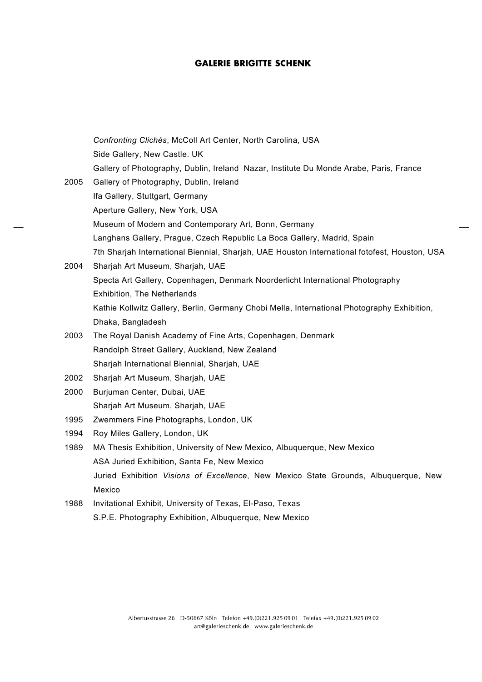|      | Confronting Clichés, McColl Art Center, North Carolina, USA                                   |
|------|-----------------------------------------------------------------------------------------------|
|      | Side Gallery, New Castle. UK                                                                  |
|      | Gallery of Photography, Dublin, Ireland Nazar, Institute Du Monde Arabe, Paris, France        |
| 2005 | Gallery of Photography, Dublin, Ireland                                                       |
|      | Ifa Gallery, Stuttgart, Germany                                                               |
|      | Aperture Gallery, New York, USA                                                               |
|      | Museum of Modern and Contemporary Art, Bonn, Germany                                          |
|      | Langhans Gallery, Prague, Czech Republic La Boca Gallery, Madrid, Spain                       |
|      | 7th Sharjah International Biennial, Sharjah, UAE Houston International fotofest, Houston, USA |
| 2004 | Sharjah Art Museum, Sharjah, UAE                                                              |
|      | Specta Art Gallery, Copenhagen, Denmark Noorderlicht International Photography                |
|      | Exhibition, The Netherlands                                                                   |
|      | Kathie Kollwitz Gallery, Berlin, Germany Chobi Mella, International Photography Exhibition,   |
|      | Dhaka, Bangladesh                                                                             |
| 2003 | The Royal Danish Academy of Fine Arts, Copenhagen, Denmark                                    |
|      | Randolph Street Gallery, Auckland, New Zealand                                                |
|      | Sharjah International Biennial, Sharjah, UAE                                                  |
| 2002 | Sharjah Art Museum, Sharjah, UAE                                                              |
| 2000 | Burjuman Center, Dubai, UAE                                                                   |
|      | Sharjah Art Museum, Sharjah, UAE                                                              |
| 1995 | Zwemmers Fine Photographs, London, UK                                                         |
| 1994 | Roy Miles Gallery, London, UK                                                                 |
| 1989 | MA Thesis Exhibition, University of New Mexico, Albuquerque, New Mexico                       |
|      | ASA Juried Exhibition, Santa Fe, New Mexico                                                   |
|      | Juried Exhibition Visions of Excellence, New Mexico State Grounds, Albuquerque, New           |
|      | Mexico                                                                                        |
| 1988 | Invitational Exhibit, University of Texas, El-Paso, Texas                                     |
|      | S.P.E. Photography Exhibition, Albuquerque, New Mexico                                        |
|      |                                                                                               |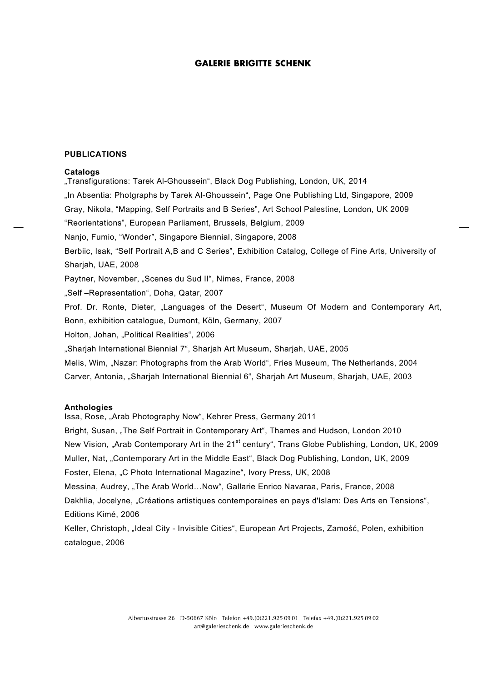### **PUBLICATIONS**

#### **Catalogs**

"Transfigurations: Tarek Al-Ghoussein", Black Dog Publishing, London, UK, 2014 "In Absentia: Photgraphs by Tarek Al-Ghoussein", Page One Publishing Ltd, Singapore, 2009 Gray, Nikola, "Mapping, Self Portraits and B Series", Art School Palestine, London, UK 2009 "Reorientations", European Parliament, Brussels, Belgium, 2009 Nanjo, Fumio, "Wonder", Singapore Biennial, Singapore, 2008 Berbiic, Isak, "Self Portrait A,B and C Series", Exhibition Catalog, College of Fine Arts, University of Sharjah, UAE, 2008 Paytner, November, "Scenes du Sud II", Nimes, France, 2008 "Self –Representation", Doha, Qatar, 2007 Prof. Dr. Ronte, Dieter, "Languages of the Desert", Museum Of Modern and Contemporary Art, Bonn, exhibition catalogue, Dumont, Köln, Germany, 2007 Holton, Johan, "Political Realities", 2006 "Sharjah International Biennial 7", Sharjah Art Museum, Sharjah, UAE, 2005 Melis, Wim, "Nazar: Photographs from the Arab World", Fries Museum, The Netherlands, 2004 Carver, Antonia, "Sharjah International Biennial 6", Sharjah Art Museum, Sharjah, UAE, 2003

## **Anthologies**

Issa, Rose, "Arab Photography Now", Kehrer Press, Germany 2011 Bright, Susan, "The Self Portrait in Contemporary Art", Thames and Hudson, London 2010 New Vision, "Arab Contemporary Art in the 21<sup>st</sup> century", Trans Globe Publishing, London, UK, 2009 Muller, Nat, "Contemporary Art in the Middle East", Black Dog Publishing, London, UK, 2009 Foster, Elena, "C Photo International Magazine", Ivory Press, UK, 2008 Messina, Audrey, "The Arab World...Now", Gallarie Enrico Navaraa, Paris, France, 2008 Dakhlia, Jocelyne, "Créations artistiques contemporaines en pays d'Islam: Des Arts en Tensions", Editions Kimé, 2006 Keller, Christoph, "Ideal City - Invisible Cities", European Art Projects, Zamość, Polen, exhibition

catalogue, 2006